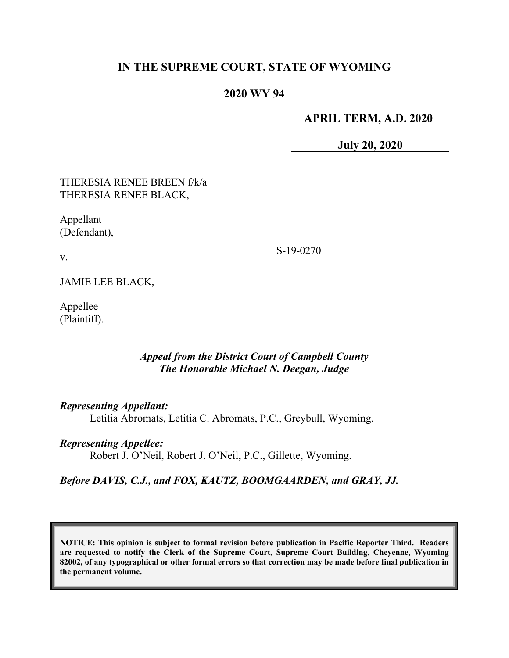# **IN THE SUPREME COURT, STATE OF WYOMING**

## **2020 WY 94**

## **APRIL TERM, A.D. 2020**

**July 20, 2020**

| THERESIA RENEE BREEN f/k/a<br>THERESIA RENEE BLACK, |           |
|-----------------------------------------------------|-----------|
| Appellant<br>(Defendant),                           |           |
| V.                                                  | S-19-0270 |
| <b>JAMIE LEE BLACK,</b>                             |           |

Appellee (Plaintiff).

## *Appeal from the District Court of Campbell County The Honorable Michael N. Deegan, Judge*

*Representing Appellant:*

Letitia Abromats, Letitia C. Abromats, P.C., Greybull, Wyoming.

#### *Representing Appellee:*

Robert J. O'Neil, Robert J. O'Neil, P.C., Gillette, Wyoming.

## *Before DAVIS, C.J., and FOX, KAUTZ, BOOMGAARDEN, and GRAY, JJ.*

**NOTICE: This opinion is subject to formal revision before publication in Pacific Reporter Third. Readers are requested to notify the Clerk of the Supreme Court, Supreme Court Building, Cheyenne, Wyoming 82002, of any typographical or other formal errors so that correction may be made before final publication in the permanent volume.**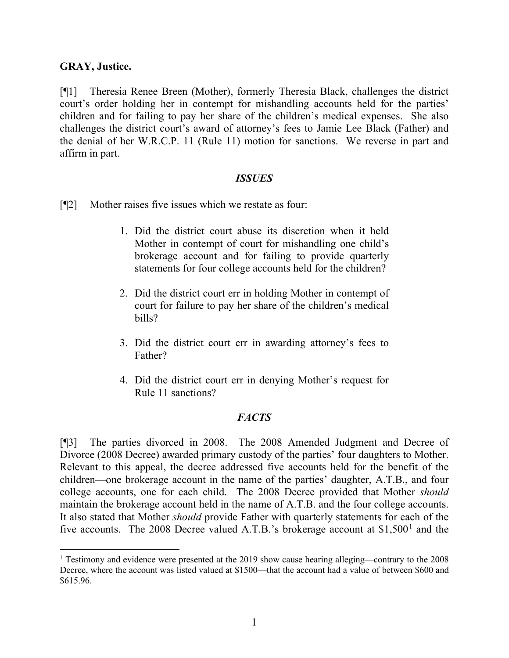### **GRAY, Justice.**

[¶1] Theresia Renee Breen (Mother), formerly Theresia Black, challenges the district court's order holding her in contempt for mishandling accounts held for the parties' children and for failing to pay her share of the children's medical expenses. She also challenges the district court's award of attorney's fees to Jamie Lee Black (Father) and the denial of her W.R.C.P. 11 (Rule 11) motion for sanctions. We reverse in part and affirm in part.

### *ISSUES*

[¶2] Mother raises five issues which we restate as four:

- 1. Did the district court abuse its discretion when it held Mother in contempt of court for mishandling one child's brokerage account and for failing to provide quarterly statements for four college accounts held for the children?
- 2. Did the district court err in holding Mother in contempt of court for failure to pay her share of the children's medical bills?
- 3. Did the district court err in awarding attorney's fees to Father?
- 4. Did the district court err in denying Mother's request for Rule 11 sanctions?

## *FACTS*

[¶3] The parties divorced in 2008. The 2008 Amended Judgment and Decree of Divorce (2008 Decree) awarded primary custody of the parties' four daughters to Mother. Relevant to this appeal, the decree addressed five accounts held for the benefit of the children—one brokerage account in the name of the parties' daughter, A.T.B., and four college accounts, one for each child. The 2008 Decree provided that Mother *should* maintain the brokerage account held in the name of A.T.B. and the four college accounts. It also stated that Mother *should* provide Father with quarterly statements for each of the five accounts. The 2008 Decree valued A.T.B.'s brokerage account at  $$1,500<sup>1</sup>$  $$1,500<sup>1</sup>$  $$1,500<sup>1</sup>$  and the

<span id="page-1-0"></span><sup>&</sup>lt;sup>1</sup> Testimony and evidence were presented at the 2019 show cause hearing alleging—contrary to the 2008 Decree, where the account was listed valued at \$1500—that the account had a value of between \$600 and \$615.96.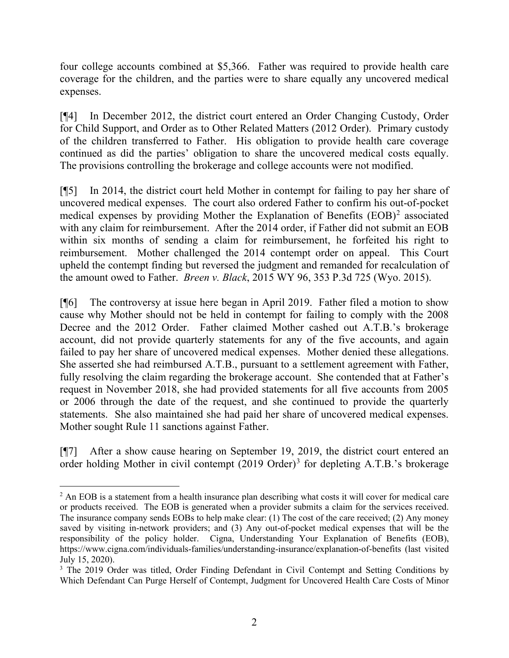four college accounts combined at \$5,366. Father was required to provide health care coverage for the children, and the parties were to share equally any uncovered medical expenses.

[¶4] In December 2012, the district court entered an Order Changing Custody, Order for Child Support, and Order as to Other Related Matters (2012 Order). Primary custody of the children transferred to Father. His obligation to provide health care coverage continued as did the parties' obligation to share the uncovered medical costs equally. The provisions controlling the brokerage and college accounts were not modified.

[¶5] In 2014, the district court held Mother in contempt for failing to pay her share of uncovered medical expenses. The court also ordered Father to confirm his out-of-pocket medical expenses by providing Mother the Explanation of Benefits (EOB)<sup>[2](#page-2-0)</sup> associated with any claim for reimbursement. After the 2014 order, if Father did not submit an EOB within six months of sending a claim for reimbursement, he forfeited his right to reimbursement. Mother challenged the 2014 contempt order on appeal. This Court upheld the contempt finding but reversed the judgment and remanded for recalculation of the amount owed to Father. *Breen v. Black*, 2015 WY 96, 353 P.3d 725 (Wyo. 2015).

[¶6] The controversy at issue here began in April 2019. Father filed a motion to show cause why Mother should not be held in contempt for failing to comply with the 2008 Decree and the 2012 Order. Father claimed Mother cashed out A.T.B.'s brokerage account, did not provide quarterly statements for any of the five accounts, and again failed to pay her share of uncovered medical expenses. Mother denied these allegations. She asserted she had reimbursed A.T.B., pursuant to a settlement agreement with Father, fully resolving the claim regarding the brokerage account. She contended that at Father's request in November 2018, she had provided statements for all five accounts from 2005 or 2006 through the date of the request, and she continued to provide the quarterly statements. She also maintained she had paid her share of uncovered medical expenses. Mother sought Rule 11 sanctions against Father.

[¶7] After a show cause hearing on September 19, 2019, the district court entered an order holding Mother in civil contempt  $(2019 \text{ Order})^3$  $(2019 \text{ Order})^3$  for depleting A.T.B.'s brokerage

<span id="page-2-0"></span><sup>&</sup>lt;sup>2</sup> An EOB is a statement from a health insurance plan describing what costs it will cover for medical care or products received. The EOB is generated when a provider submits a claim for the services received. The insurance company sends EOBs to help make clear: (1) The cost of the care received; (2) Any money saved by visiting in-network providers; and (3) Any out-of-pocket medical expenses that will be the responsibility of the policy holder. Cigna, Understanding Your Explanation of Benefits (EOB), https://www.cigna.com/individuals-families/understanding-insurance/explanation-of-benefits (last visited July 15, 2020).

<span id="page-2-1"></span><sup>&</sup>lt;sup>3</sup> The 2019 Order was titled, Order Finding Defendant in Civil Contempt and Setting Conditions by Which Defendant Can Purge Herself of Contempt, Judgment for Uncovered Health Care Costs of Minor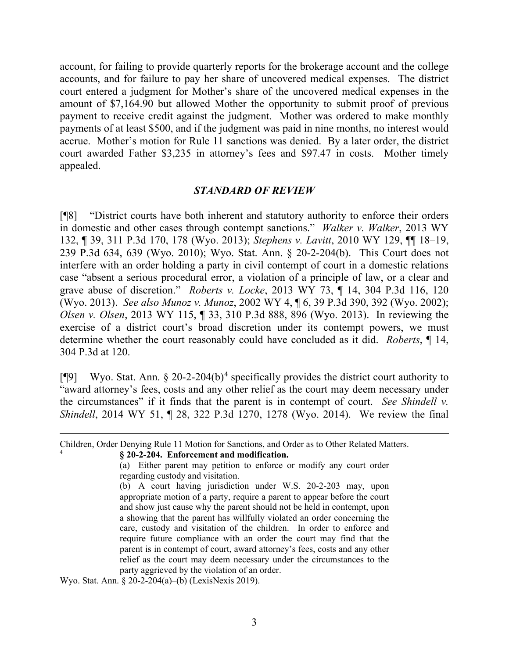account, for failing to provide quarterly reports for the brokerage account and the college accounts, and for failure to pay her share of uncovered medical expenses. The district court entered a judgment for Mother's share of the uncovered medical expenses in the amount of \$7,164.90 but allowed Mother the opportunity to submit proof of previous payment to receive credit against the judgment. Mother was ordered to make monthly payments of at least \$500, and if the judgment was paid in nine months, no interest would accrue. Mother's motion for Rule 11 sanctions was denied. By a later order, the district court awarded Father \$3,235 in attorney's fees and \$97.47 in costs. Mother timely appealed.

#### *STANDARD OF REVIEW*

[¶8] "District courts have both inherent and statutory authority to enforce their orders in domestic and other cases through contempt sanctions." *Walker v. Walker*, 2013 WY 132, ¶ 39, 311 P.3d 170, 178 (Wyo. 2013); *Stephens v. Lavitt*, 2010 WY 129, ¶¶ 18–19, 239 P.3d 634, 639 (Wyo. 2010); Wyo. Stat. Ann. § 20-2-204(b). This Court does not interfere with an order holding a party in civil contempt of court in a domestic relations case "absent a serious procedural error, a violation of a principle of law, or a clear and grave abuse of discretion." *Roberts v. Locke*, 2013 WY 73, ¶ 14, 304 P.3d 116, 120 (Wyo. 2013). *See also Munoz v. Munoz*, 2002 WY 4, ¶ 6, 39 P.3d 390, 392 (Wyo. 2002); *Olsen v. Olsen*, 2013 WY 115, ¶ 33, 310 P.3d 888, 896 (Wyo. 2013). In reviewing the exercise of a district court's broad discretion under its contempt powers, we must determine whether the court reasonably could have concluded as it did. *Roberts*, ¶ 14, 304 P.3d at 120.

[ $[$ [9] Wyo. Stat. Ann. § 20-2-20[4](#page-3-0)(b)<sup>4</sup> specifically provides the district court authority to "award attorney's fees, costs and any other relief as the court may deem necessary under the circumstances" if it finds that the parent is in contempt of court. *See Shindell v. Shindell*, 2014 WY 51, ¶ 28, 322 P.3d 1270, 1278 (Wyo. 2014). We review the final

Wyo. Stat. Ann. § 20-2-204(a)–(b) (LexisNexis 2019).

<span id="page-3-0"></span>Children, Order Denying Rule 11 Motion for Sanctions, and Order as to Other Related Matters. <sup>4</sup> **§ 20-2-204. Enforcement and modification.** (a) Either parent may petition to enforce or modify any court order regarding custody and visitation. (b) A court having jurisdiction under W.S. 20-2-203 may, upon

appropriate motion of a party, require a parent to appear before the court and show just cause why the parent should not be held in contempt, upon a showing that the parent has willfully violated an order concerning the care, custody and visitation of the children. In order to enforce and require future compliance with an order the court may find that the parent is in contempt of court, award attorney's fees, costs and any other relief as the court may deem necessary under the circumstances to the party aggrieved by the violation of an order.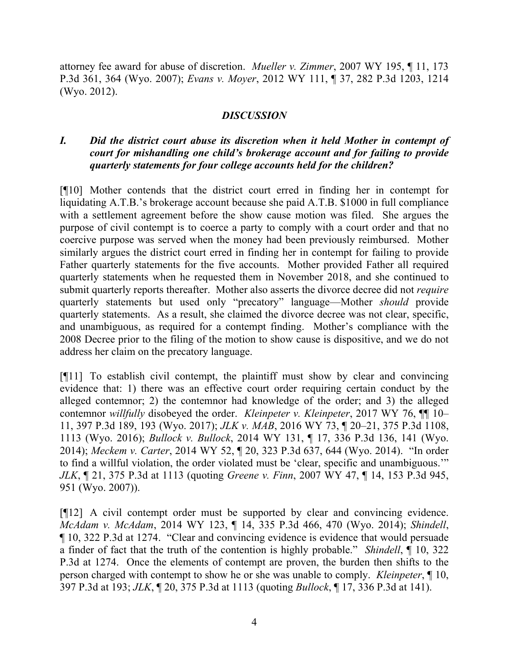attorney fee award for abuse of discretion. *Mueller v. Zimmer*, [2007 WY 195, ¶ 11, 173](https://1.next.westlaw.com/Link/Document/FullText?findType=Y&serNum=2014321020&pubNum=0004645&originatingDoc=I2fe7a4985ae811e4b86bd602cb8781fa&refType=RP&fi=co_pp_sp_4645_364&originationContext=document&transitionType=DocumentItem&contextData=(sc.Search)#co_pp_sp_4645_364)  [P.3d 361, 364 \(Wyo.](https://1.next.westlaw.com/Link/Document/FullText?findType=Y&serNum=2014321020&pubNum=0004645&originatingDoc=I2fe7a4985ae811e4b86bd602cb8781fa&refType=RP&fi=co_pp_sp_4645_364&originationContext=document&transitionType=DocumentItem&contextData=(sc.Search)#co_pp_sp_4645_364) 2007); *Evans v. Moyer*, 2012 WY [111, ¶ 37, 282 P.3d 1203, 1214](https://1.next.westlaw.com/Link/Document/FullText?findType=Y&serNum=2028412729&pubNum=0004645&originatingDoc=I2fe7a4985ae811e4b86bd602cb8781fa&refType=RP&fi=co_pp_sp_4645_1214&originationContext=document&transitionType=DocumentItem&contextData=(sc.Search)#co_pp_sp_4645_1214)  (Wyo. [2012\).](https://1.next.westlaw.com/Link/Document/FullText?findType=Y&serNum=2028412729&pubNum=0004645&originatingDoc=I2fe7a4985ae811e4b86bd602cb8781fa&refType=RP&fi=co_pp_sp_4645_1214&originationContext=document&transitionType=DocumentItem&contextData=(sc.Search)#co_pp_sp_4645_1214)

## *DISCUSSION*

# *I. Did the district court abuse its discretion when it held Mother in contempt of court for mishandling one child's brokerage account and for failing to provide quarterly statements for four college accounts held for the children?*

[¶10] Mother contends that the district court erred in finding her in contempt for liquidating A.T.B.'s brokerage account because she paid A.T.B. \$1000 in full compliance with a settlement agreement before the show cause motion was filed. She argues the purpose of civil contempt is to coerce a party to comply with a court order and that no coercive purpose was served when the money had been previously reimbursed. Mother similarly argues the district court erred in finding her in contempt for failing to provide Father quarterly statements for the five accounts. Mother provided Father all required quarterly statements when he requested them in November 2018, and she continued to submit quarterly reports thereafter. Mother also asserts the divorce decree did not *require* quarterly statements but used only "precatory" language—Mother *should* provide quarterly statements. As a result, she claimed the divorce decree was not clear, specific, and unambiguous, as required for a contempt finding. Mother's compliance with the 2008 Decree prior to the filing of the motion to show cause is dispositive, and we do not address her claim on the precatory language.

[¶11] To establish civil contempt, the plaintiff must show by clear and convincing evidence that: 1) there was an effective court order requiring certain conduct by the alleged contemnor; 2) the contemnor had knowledge of the order; and 3) the alleged contemnor *willfully* disobeyed the order. *Kleinpeter v. Kleinpeter*, 2017 WY 76, ¶¶ 10– 11, 397 P.3d 189, 193 (Wyo. 2017); *JLK v. MAB*, 2016 WY 73, ¶ 20–21, 375 P.3d 1108, 1113 (Wyo. 2016); *Bullock v. Bullock*, 2014 WY 131, ¶ 17, 336 P.3d 136, 141 (Wyo. 2014); *Meckem v. Carter*, 2014 WY 52, ¶ 20, 323 P.3d 637, 644 (Wyo. 2014). "In order to find a willful violation, the order violated must be 'clear, specific and unambiguous.'" *JLK*, ¶ 21, 375 P.3d at 1113 (quoting *Greene v. Finn*, 2007 WY 47, ¶ 14, 153 P.3d 945, 951 (Wyo. 2007)).

[¶12] A civil contempt order must be supported by clear and convincing evidence. *McAdam v. McAdam*, 2014 WY 123, ¶ 14, 335 P.3d 466, 470 (Wyo. 2014); *Shindell*, ¶ 10, 322 P.3d at 1274. "Clear and convincing evidence is evidence that would persuade a finder of fact that the truth of the contention is highly probable." *Shindell*, ¶ 10, 322 P.3d at 1274. Once the elements of contempt are proven, the burden then shifts to the person charged with contempt to show he or she was unable to comply. *Kleinpeter*, ¶ 10, 397 P.3d at 193; *JLK*, ¶ 20, 375 P.3d at 1113 (quoting *Bullock*, ¶ 17, 336 P.3d at 141).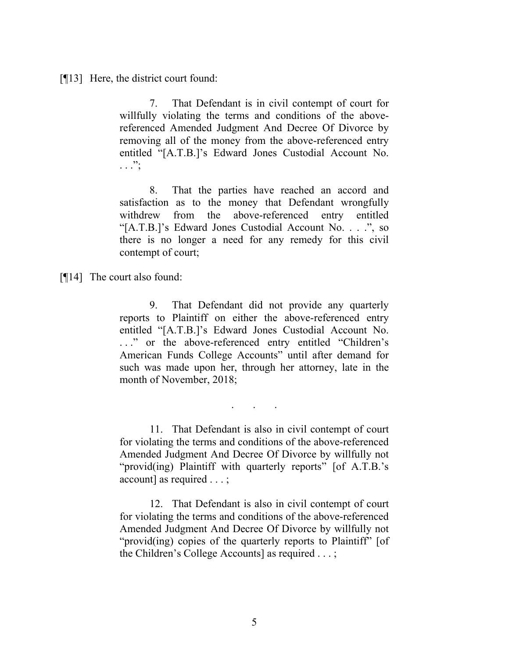[¶13] Here, the district court found:

7. That Defendant is in civil contempt of court for willfully violating the terms and conditions of the abovereferenced Amended Judgment And Decree Of Divorce by removing all of the money from the above-referenced entry entitled "[A.T.B.]'s Edward Jones Custodial Account No.  $\ldots$  .  $\ldots$  :

8. That the parties have reached an accord and satisfaction as to the money that Defendant wrongfully withdrew from the above-referenced entry entitled "[A.T.B.]'s Edward Jones Custodial Account No. . . .", so there is no longer a need for any remedy for this civil contempt of court;

[¶14] The court also found:

9. That Defendant did not provide any quarterly reports to Plaintiff on either the above-referenced entry entitled "[A.T.B.]'s Edward Jones Custodial Account No. . . ." or the above-referenced entry entitled "Children's American Funds College Accounts" until after demand for such was made upon her, through her attorney, late in the month of November, 2018;

. . .

11. That Defendant is also in civil contempt of court for violating the terms and conditions of the above-referenced Amended Judgment And Decree Of Divorce by willfully not "provid(ing) Plaintiff with quarterly reports" [of A.T.B.'s account] as required . . . ;

12. That Defendant is also in civil contempt of court for violating the terms and conditions of the above-referenced Amended Judgment And Decree Of Divorce by willfully not "provid(ing) copies of the quarterly reports to Plaintiff" [of the Children's College Accounts] as required . . . ;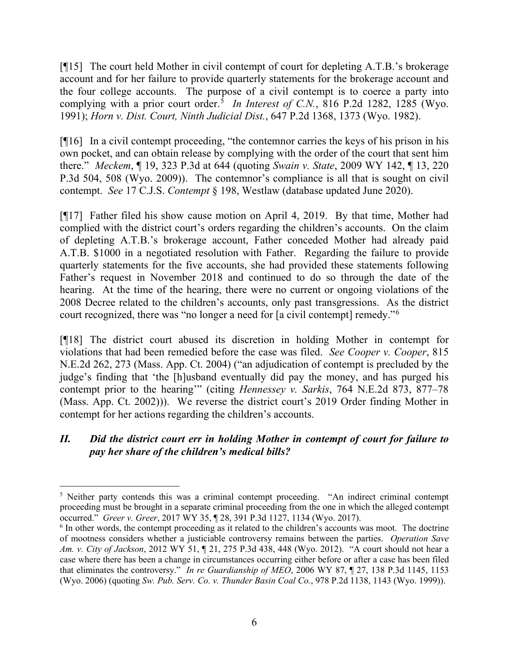[¶15] The court held Mother in civil contempt of court for depleting A.T.B.'s brokerage account and for her failure to provide quarterly statements for the brokerage account and the four college accounts. The purpose of a civil contempt is to coerce a party into complying with a prior court order. [5](#page-6-0) *In Interest of C.N.*, [816 P.2d 1282, 1285 \(Wyo.](https://1.next.westlaw.com/Link/Document/FullText?findType=Y&serNum=1991150469&pubNum=0000661&originatingDoc=I99d4bce4f53811d9b386b232635db992&refType=RP&fi=co_pp_sp_661_1285&originationContext=document&transitionType=DocumentItem&contextData=(sc.Search)#co_pp_sp_661_1285) [1991\);](https://1.next.westlaw.com/Link/Document/FullText?findType=Y&serNum=1991150469&pubNum=0000661&originatingDoc=I99d4bce4f53811d9b386b232635db992&refType=RP&fi=co_pp_sp_661_1285&originationContext=document&transitionType=DocumentItem&contextData=(sc.Search)#co_pp_sp_661_1285) *Horn v. Dist. Court, [Ninth Judicial Dist.](https://1.next.westlaw.com/Link/Document/FullText?findType=Y&serNum=1982132067&pubNum=661&originatingDoc=I99d4bce4f53811d9b386b232635db992&refType=RP&fi=co_pp_sp_661_1373&originationContext=document&transitionType=DocumentItem&contextData=(sc.Search)#co_pp_sp_661_1373)*, 647 P.2d 1368, 1373 (Wyo. 1982).

[¶16] In a civil contempt proceeding, "the contemnor carries the keys of his prison in his own pocket, and can obtain release by complying with the order of the court that sent him there." *[Meckem](https://1.next.westlaw.com/Document/I17b98b84ca9511e3a795ac035416da91/View/FullText.html?listSource=Search&navigationPath=Search%2fv1%2fresults%2fnavigation%2fi0ad7401100000171cd05fb91c50cdee1%3fNav%3dCASE%26fragmentIdentifier%3dI17b98b84ca9511e3a795ac035416da91%26parentRank%3d0%26startIndex%3d1%26contextData%3d%2528sc.Search%2529%26transitionType%3dSearchItem&list=CASE&rank=3&listPageSource=1de82576a1d2a18968e70927ad8e687a&originationContext=docHeader&contextData=(sc.Search)&transitionType=Document&needToInjectTerms=False&enableBestPortion=True&docSource=2f756666ac3a49019b30f4fb0f5e14d0)*, ¶ 19, 323 P.3d at 644 (quoting *Swain v. State*, [2009 WY 142, ¶ 13, 220](https://1.next.westlaw.com/Link/Document/FullText?findType=Y&serNum=2020444725&pubNum=0004645&originatingDoc=I17b98b84ca9511e3a795ac035416da91&refType=RP&fi=co_pp_sp_4645_508&originationContext=document&transitionType=DocumentItem&contextData=(sc.Search)#co_pp_sp_4645_508) [P.3d 504, 508 \(Wyo.](https://1.next.westlaw.com/Link/Document/FullText?findType=Y&serNum=2020444725&pubNum=0004645&originatingDoc=I17b98b84ca9511e3a795ac035416da91&refType=RP&fi=co_pp_sp_4645_508&originationContext=document&transitionType=DocumentItem&contextData=(sc.Search)#co_pp_sp_4645_508) 2009)). The contemnor's compliance is all that is sought on civil contempt. *See* 17 C.J.S. *Contempt* § 198, Westlaw [\(database updated June 2020\).](https://1.next.westlaw.com/Link/Document/FullText?findType=Y&serNum=0358989559&pubNum=0156360&originatingDoc=I17b98b84ca9511e3a795ac035416da91&refType=TS&originationContext=document&transitionType=DocumentItem&contextData=(sc.Search))

[¶17] Father filed his show cause motion on April 4, 2019. By that time, Mother had complied with the district court's orders regarding the children's accounts. On the claim of depleting A.T.B.'s brokerage account, Father conceded Mother had already paid A.T.B. \$1000 in a negotiated resolution with Father. Regarding the failure to provide quarterly statements for the five accounts, she had provided these statements following Father's request in November 2018 and continued to do so through the date of the hearing. At the time of the hearing, there were no current or ongoing violations of the 2008 Decree related to the children's accounts, only past transgressions. As the district court recognized, there was "no longer a need for [a civil contempt] remedy."[6](#page-6-1)

[¶18] The district court abused its discretion in holding Mother in contempt for violations that had been remedied before the case was filed. *See Cooper v. Cooper*, 815 N.E.2d 262, 273 (Mass. App. Ct. 2004) ("an adjudication of contempt is precluded by the judge's finding that 'the [h]usband eventually did pay the money, and has purged his contempt prior to the hearing'" (citing *Hennessey v. Sarkis*, 764 N.E.2d 873, 877–78 (Mass. App. Ct. 2002))). We reverse the district court's 2019 Order finding Mother in contempt for her actions regarding the children's accounts.

# *II. Did the district court err in holding Mother in contempt of court for failure to pay her share of the children's medical bills?*

<span id="page-6-0"></span><sup>&</sup>lt;sup>5</sup> Neither party contends this was a criminal contempt proceeding. "An indirect criminal contempt proceeding must be brought in a separate criminal proceeding from the one in which the alleged contempt occurred." *Greer v. Greer*, 2017 WY 35, ¶ 28, 391 P.3d 1127, 1134 (Wyo. 2017).

<span id="page-6-1"></span><sup>&</sup>lt;sup>6</sup> In other words, the contempt proceeding as it related to the children's accounts was moot. The doctrine of mootness considers whether a justiciable controversy remains between the parties. *Operation Save Am. v. City of Jackson*, 2012 WY 51, ¶ 21, 275 P.3d 438, 448 (Wyo. 2012). "A court should not hear a case where there has been a change in circumstances occurring either before or after a case has been filed that eliminates the controversy." *In re Guardianship of MEO*, 2006 WY 87, ¶ 27, 138 P.3d 1145, 1153 (Wyo. 2006) (quoting *Sw. Pub. Serv. Co. v. Thunder Basin Coal Co.*, 978 P.2d 1138, 1143 (Wyo. 1999)).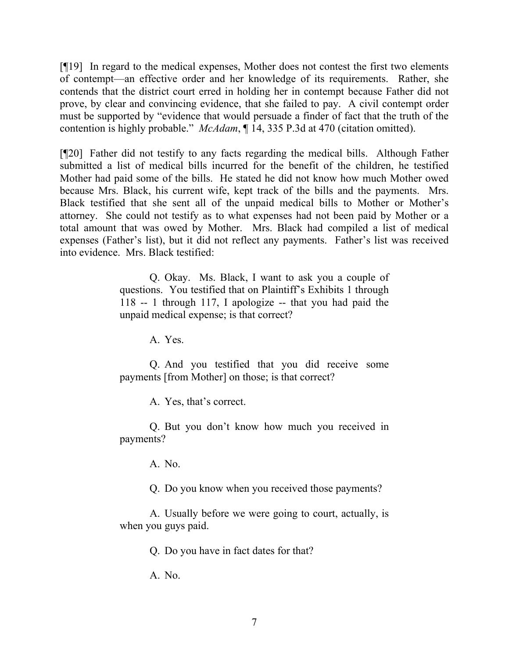[¶19] In regard to the medical expenses, Mother does not contest the first two elements of contempt—an effective order and her knowledge of its requirements. Rather, she contends that the district court erred in holding her in contempt because Father did not prove, by clear and convincing evidence, that she failed to pay. A civil contempt order must be supported by "evidence that would persuade a finder of fact that the truth of the contention is highly probable." *McAdam*, ¶ 14, 335 P.3d at 470 (citation omitted).

[¶20] Father did not testify to any facts regarding the medical bills. Although Father submitted a list of medical bills incurred for the benefit of the children, he testified Mother had paid some of the bills. He stated he did not know how much Mother owed because Mrs. Black, his current wife, kept track of the bills and the payments. Mrs. Black testified that she sent all of the unpaid medical bills to Mother or Mother's attorney. She could not testify as to what expenses had not been paid by Mother or a total amount that was owed by Mother. Mrs. Black had compiled a list of medical expenses (Father's list), but it did not reflect any payments. Father's list was received into evidence. Mrs. Black testified:

> Q. Okay. Ms. Black, I want to ask you a couple of questions. You testified that on Plaintiff's Exhibits 1 through 118 -- 1 through 117, I apologize -- that you had paid the unpaid medical expense; is that correct?

> > A. Yes.

Q. And you testified that you did receive some payments [from Mother] on those; is that correct?

A. Yes, that's correct.

Q. But you don't know how much you received in payments?

A. No.

Q. Do you know when you received those payments?

A. Usually before we were going to court, actually, is when you guys paid.

Q. Do you have in fact dates for that?

A. No.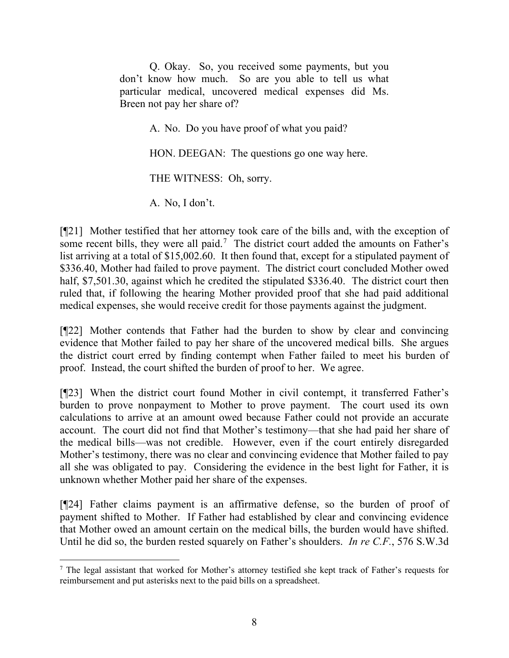Q. Okay. So, you received some payments, but you don't know how much. So are you able to tell us what particular medical, uncovered medical expenses did Ms. Breen not pay her share of?

A. No. Do you have proof of what you paid?

HON. DEEGAN: The questions go one way here.

THE WITNESS: Oh, sorry.

A. No, I don't.

[¶21] Mother testified that her attorney took care of the bills and, with the exception of some recent bills, they were all paid.<sup>[7](#page-8-0)</sup> The district court added the amounts on Father's list arriving at a total of \$15,002.60. It then found that, except for a stipulated payment of \$336.40, Mother had failed to prove payment. The district court concluded Mother owed half, \$7,501.30, against which he credited the stipulated \$336.40. The district court then ruled that, if following the hearing Mother provided proof that she had paid additional medical expenses, she would receive credit for those payments against the judgment.

[¶22] Mother contends that Father had the burden to show by clear and convincing evidence that Mother failed to pay her share of the uncovered medical bills. She argues the district court erred by finding contempt when Father failed to meet his burden of proof. Instead, the court shifted the burden of proof to her. We agree.

[¶23] When the district court found Mother in civil contempt, it transferred Father's burden to prove nonpayment to Mother to prove payment. The court used its own calculations to arrive at an amount owed because Father could not provide an accurate account. The court did not find that Mother's testimony—that she had paid her share of the medical bills—was not credible. However, even if the court entirely disregarded Mother's testimony, there was no clear and convincing evidence that Mother failed to pay all she was obligated to pay. Considering the evidence in the best light for Father, it is unknown whether Mother paid her share of the expenses.

[¶24] Father claims payment is an affirmative defense, so the burden of proof of payment shifted to Mother. If Father had established by clear and convincing evidence that Mother owed an amount certain on the medical bills, the burden would have shifted. Until he did so, the burden rested squarely on Father's shoulders. *In re C.F.*, 576 S.W.3d

<span id="page-8-0"></span><sup>7</sup> The legal assistant that worked for Mother's attorney testified she kept track of Father's requests for reimbursement and put asterisks next to the paid bills on a spreadsheet.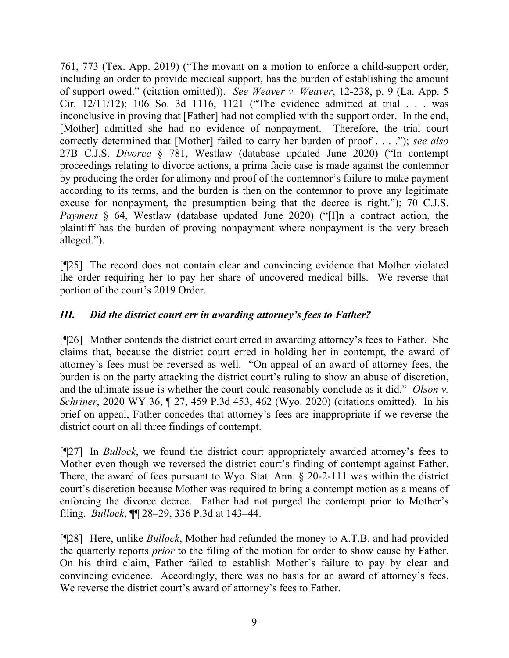761, 773 (Tex. App. 2019) ("The movant on a motion to enforce a child-support order, including an order to provide medical support, has the burden of establishing the amount of support owed." (citation omitted)). *See Weaver v. Weaver*, 12-238, p. 9 (La. App. 5 Cir. 12/11/12); 106 So. 3d 1116, 1121 ("The evidence admitted at trial . . . was inconclusive in proving that [Father] had not complied with the support order. In the end, [Mother] admitted she had no evidence of nonpayment. Therefore, the trial court correctly determined that [Mother] failed to carry her burden of proof . . . ."); *see also* 27B C.J.S. *Divorce* § 781, Westlaw (database updated June 2020) ("In contempt proceedings relating to divorce actions, a prima facie case is made against the contemnor by producing the order for alimony and proof of the contemnor's failure to make payment according to its terms, and the burden is then on the contemnor to prove any legitimate excuse for nonpayment, the presumption being that the decree is right."); 70 C.J.S. *Payment* § 64, Westlaw (database updated June 2020) ("[I]n a contract action, the plaintiff has the burden of proving nonpayment where nonpayment is the very breach alleged.").

[¶25] The record does not contain clear and convincing evidence that Mother violated the order requiring her to pay her share of uncovered medical bills. We reverse that portion of the court's 2019 Order.

# *III. Did the district court err in awarding attorney's fees to Father?*

[¶26] Mother contends the district court erred in awarding attorney's fees to Father. She claims that, because the district court erred in holding her in contempt, the award of attorney's fees must be reversed as well. "On appeal of an award of attorney fees, the burden is on the party attacking the district court's ruling to show an abuse of discretion, and the ultimate issue is whether the court could reasonably conclude as it did." *Olson v. Schriner*, 2020 WY 36, ¶ 27, 459 P.3d 453, 462 (Wyo. 2020) (citations omitted). In his brief on appeal, Father concedes that attorney's fees are inappropriate if we reverse the district court on all three findings of contempt.

[¶27] In *Bullock*, we found the district court appropriately awarded attorney's fees to Mother even though we reversed the district court's finding of contempt against Father. There, the award of fees pursuant to Wyo. Stat. Ann. § 20-2-111 was within the district court's discretion because Mother was required to bring a contempt motion as a means of enforcing the divorce decree. Father had not purged the contempt prior to Mother's filing. *Bullock*, ¶¶ 28–29, 336 P.3d at 143–44.

[¶28] Here, unlike *Bullock*, Mother had refunded the money to A.T.B. and had provided the quarterly reports *prior* to the filing of the motion for order to show cause by Father. On his third claim, Father failed to establish Mother's failure to pay by clear and convincing evidence. Accordingly, there was no basis for an award of attorney's fees. We reverse the district court's award of attorney's fees to Father.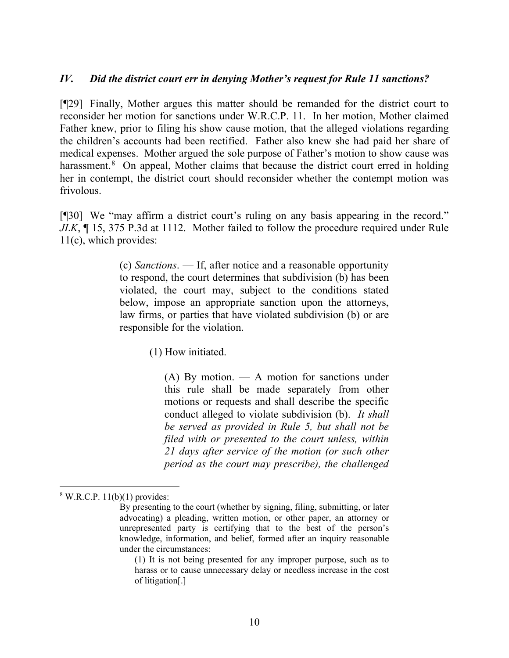## *IV. Did the district court err in denying Mother's request for Rule 11 sanctions?*

[¶29] Finally, Mother argues this matter should be remanded for the district court to reconsider her motion for sanctions under W.R.C.P. 11. In her motion, Mother claimed Father knew, prior to filing his show cause motion, that the alleged violations regarding the children's accounts had been rectified. Father also knew she had paid her share of medical expenses. Mother argued the sole purpose of Father's motion to show cause was harassment.<sup>[8](#page-10-0)</sup> On appeal, Mother claims that because the district court erred in holding her in contempt, the district court should reconsider whether the contempt motion was frivolous.

[¶30] We "may affirm a district court's ruling on any basis appearing in the record." *JLK*, ¶ 15, 375 P.3d at 1112. Mother failed to follow the procedure required under Rule 11(c), which provides:

> (c) *Sanctions*. — If, after notice and a reasonable opportunity to respond, the court determines that subdivision (b) has been violated, the court may, subject to the conditions stated below, impose an appropriate sanction upon the attorneys, law firms, or parties that have violated subdivision (b) or are responsible for the violation.

> > (1) How initiated.

(A) By motion. — A motion for sanctions under this rule shall be made separately from other motions or requests and shall describe the specific conduct alleged to violate subdivision (b). *It shall be served as provided in Rule 5, but shall not be filed with or presented to the court unless, within 21 days after service of the motion (or such other period as the court may prescribe), the challenged* 

<span id="page-10-0"></span> $8$  W.R.C.P. 11(b)(1) provides:

By presenting to the court (whether by signing, filing, submitting, or later advocating) a pleading, written motion, or other paper, an attorney or unrepresented party is certifying that to the best of the person's knowledge, information, and belief, formed after an inquiry reasonable under the circumstances:

<sup>(1)</sup> It is not being presented for any improper purpose, such as to harass or to cause unnecessary delay or needless increase in the cost of litigation[.]